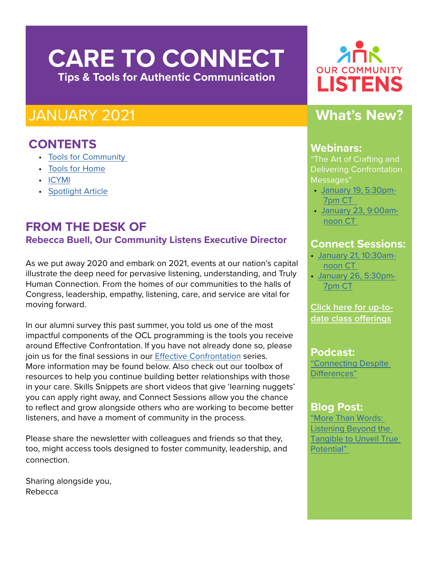# **CARE TO CONNECT Tips & Tools for Authentic Communication**

## JANUARY 2021

## **CONTENTS**

- [Tools for Community](#page-1-0)
- [Tools for Home](#page-2-0)
- [ICYMI](#page-1-0)
- [Spotlight Article](#page-3-0)

## **FROM THE DESK OF Rebecca Buell, Our Community Listens Executive Director**

As we put away 2020 and embark on 2021, events at our nation's capital illustrate the deep need for pervasive listening, understanding, and Truly Human Connection. From the homes of our communities to the halls of Congress, leadership, empathy, listening, care, and service are vital for moving forward.

In our alumni survey this past summer, you told us one of the most impactful components of the OCL programming is the tools you receive around Effective Confrontation. If you have not already done so, please join us for the final sessions in our [Effective Confrontation](https://www.ourcommunitylistens.org/events/web-series) series. More information may be found below. Also check out our toolbox of resources to help you continue building better relationships with those in your care. Skills Snippets are short videos that give 'learning nuggets' you can apply right away, and Connect Sessions allow you the chance to reflect and grow alongside others who are working to become better listeners, and have a moment of community in the process.

Please share the newsletter with colleagues and friends so that they, too, might access tools designed to foster community, leadership, and connection.

Sharing alongside you, Rebecca



## **What's New?**

### **Webinars:**

"The Art of Crafting and Delivering Confrontation Messages"

- • [January 19, 5:30pm-](https://us02web.zoom.us/meeting/register/tZMvcuGoqDstGtdi9W7ggKsfw7NLGsrVfZBf)[7pm CT](https://us02web.zoom.us/meeting/register/tZMvcuGoqDstGtdi9W7ggKsfw7NLGsrVfZBf)
- • [January 23, 9:00am](https://us02web.zoom.us/meeting/register/tZUofu-rqjwiHNQOcMLDp7AkEWcXxEzAFV4U)[noon CT](https://us02web.zoom.us/meeting/register/tZUofu-rqjwiHNQOcMLDp7AkEWcXxEzAFV4U)

### **Connect Sessions:**

- [January 21, 10:30am](https://us02web.zoom.us/meeting/register/tZYvcuihqTkrGdTisKoyrVneaBDqaNYRk2Df)[noon CT](https://us02web.zoom.us/meeting/register/tZYvcuihqTkrGdTisKoyrVneaBDqaNYRk2Df)
- [January 26, 5:30pm-](https://us02web.zoom.us/meeting/register/tZEkd-GrqzwuHdQxhzlVHaBVlq0w9HLrSij9)[7pm CT](https://us02web.zoom.us/meeting/register/tZEkd-GrqzwuHdQxhzlVHaBVlq0w9HLrSij9)

### **[Click here for up-to](https://ourcommunitylistens.secure.nonprofitsoapbox.com/skills-education)[date class offerings](https://ourcommunitylistens.secure.nonprofitsoapbox.com/skills-education)**

**Podcast:** ["Connecting Despite](https://soundcloud.com/ourcommunitylistens/epi-061?fbclid=IwAR3Ra4ynUJpVDw-k_aFGoRJONEtQjK9Ec63iyiAos6FgS3b0nHiYD9d53O8)  [Differences"](https://soundcloud.com/ourcommunitylistens/epi-061?fbclid=IwAR3Ra4ynUJpVDw-k_aFGoRJONEtQjK9Ec63iyiAos6FgS3b0nHiYD9d53O8)

## **Blog Post:**

["More Than Words:](https://www.ourcommunitylistens.org/blog/post/ocl/2020/11/13/more-than-words-listening-beyond-the-tangible-to-unveil-true-potential)  [Listening Beyond the](https://www.ourcommunitylistens.org/blog/post/ocl/2020/11/13/more-than-words-listening-beyond-the-tangible-to-unveil-true-potential)  [Tangible to Unveil True](https://www.ourcommunitylistens.org/blog/post/ocl/2020/11/13/more-than-words-listening-beyond-the-tangible-to-unveil-true-potential)  [Potential"](https://www.ourcommunitylistens.org/blog/post/ocl/2020/11/13/more-than-words-listening-beyond-the-tangible-to-unveil-true-potential)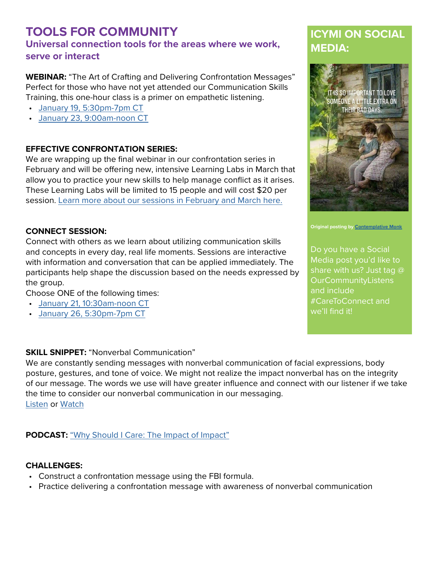### <span id="page-1-0"></span>**TOOLS FOR COMMUNITY Universal connection tools for the areas where we work, serve or interact**

**WEBINAR:** "The Art of Crafting and Delivering Confrontation Messages" Perfect for those who have not yet attended our Communication Skills Training, this one-hour class is a primer on empathetic listening.

- [January 19, 5:30pm-7pm CT](https://us02web.zoom.us/meeting/register/tZMvcuGoqDstGtdi9W7ggKsfw7NLGsrVfZBf)
- [January 23, 9:00am-noon CT](https://us02web.zoom.us/meeting/register/tZUofu-rqjwiHNQOcMLDp7AkEWcXxEzAFV4U)

#### **EFFECTIVE CONFRONTATION SERIES:**

We are wrapping up the final webinar in our confrontation series in February and will be offering new, intensive Learning Labs in March that allow you to practice your new skills to help manage conflict as it arises. These Learning Labs will be limited to 15 people and will cost \$20 per session. [Learn more about our sessions in February and March here.](https://www.ourcommunitylistens.org/events/web-series)

#### **CONNECT SESSION:**

Connect with others as we learn about utilizing communication skills and concepts in every day, real life moments. Sessions are interactive with information and conversation that can be applied immediately. The participants help shape the discussion based on the needs expressed by the group.

Choose ONE of the following times:

- [January 21, 10:30am-noon CT](https://us02web.zoom.us/meeting/register/tZYvcuihqTkrGdTisKoyrVneaBDqaNYRk2Df)
- [January 26, 5:30pm-7pm CT](https://us02web.zoom.us/meeting/register/tZEkd-GrqzwuHdQxhzlVHaBVlq0w9HLrSij9)

#### **SKILL SNIPPET:** "Nonverbal Communication"

We are constantly sending messages with nonverbal communication of facial expressions, body posture, gestures, and tone of voice. We might not realize the impact nonverbal has on the integrity of our message. The words we use will have greater influence and connect with our listener if we take the time to consider our nonverbal communication in our messaging. [Listen](https://soundcloud.com/ourcommunitylistens/ss-what-are-you-saying-nonverbal-communication) or [Watch](https://www.youtube.com/watch?v=vU1c6KC7WgA&feature=youtu.be)

#### **PODCAST:** ["Why Should I Care: The Impact of Impact"](https://soundcloud.com/ourcommunitylistens/epi-060)

#### **CHALLENGES:**

- Construct a confrontation message using the FBI formula.
- Practice delivering a confrontation message with awareness of nonverbal communication

## **ICYMI ON SOCIAL MEDIA:**



**Original posting by [Contemplative Monk](http://Contemplative Monk)**

Do you have a Social Media post you'd like to share with us? Just tag @ **OurCommunityListens** and include #CareToConnect and we'll find it!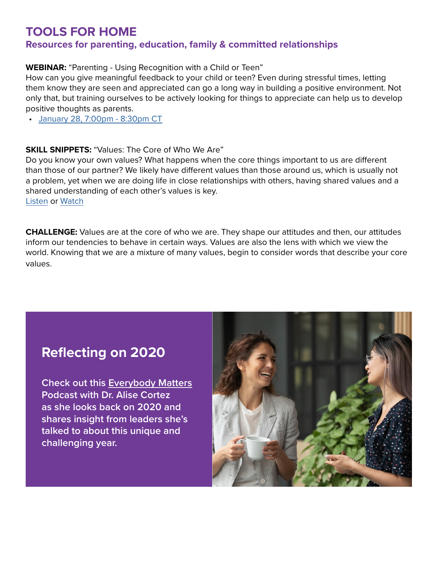### <span id="page-2-0"></span>**TOOLS FOR HOME Resources for parenting, education, family & committed relationships**

**WEBINAR:** "Parenting - Using Recognition with a Child or Teen"

How can you give meaningful feedback to your child or teen? Even during stressful times, letting them know they are seen and appreciated can go a long way in building a positive environment. Not only that, but training ourselves to be actively looking for things to appreciate can help us to develop positive thoughts as parents.

• [January 28, 7:00pm - 8:30pm CT](https://ourcommunitylistens.secure.nonprofitsoapbox.com/skills-education/event/46)

#### **SKILL SNIPPETS: "Values: The Core of Who We Are"**

Do you know your own values? What happens when the core things important to us are different than those of our partner? We likely have different values than those around us, which is usually not a problem, yet when we are doing life in close relationships with others, having shared values and a shared understanding of each other's values is key.

[Listen](https://soundcloud.com/ourcommunitylistens/ss-values) or [Watch](https://www.youtube.com/watch?v=zItq9eWtmag&feature=youtu.be)

**CHALLENGE:** Values are at the core of who we are. They shape our attitudes and then, our attitudes inform our tendencies to behave in certain ways. Values are also the lens with which we view the world. Knowing that we are a mixture of many values, begin to consider words that describe your core values.

## **Reflecting on 2020**

**Check out this [Everybody Matters](https://www.trulyhumanleadership.com/?p=4943) Podcast with Dr. Alise Cortez as she looks back on 2020 and shares insight from leaders she's talked to about this unique and challenging year.**